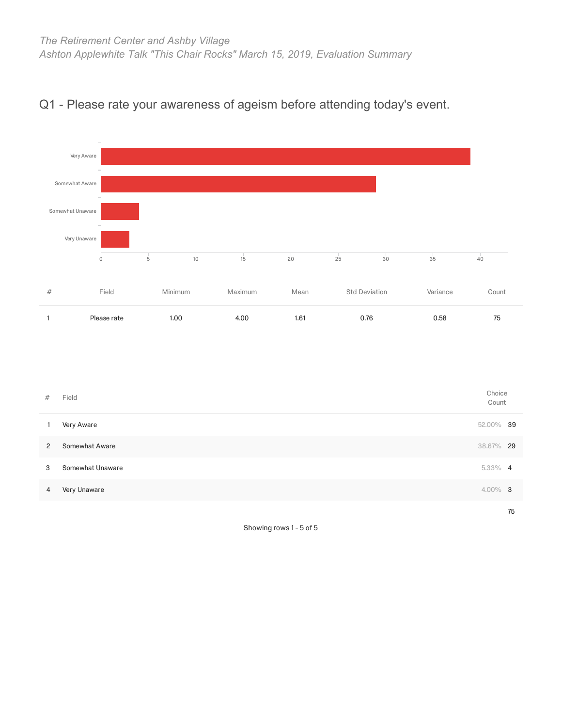

### Q1 - Please rate your awareness of ageism before attending today's event.

| #              | Field            | Choice<br>Count |    |
|----------------|------------------|-----------------|----|
| $\overline{1}$ | Very Aware       | 52.00% 39       |    |
| $\mathbf{2}$   | Somewhat Aware   | 38.67% 29       |    |
| 3              | Somewhat Unaware | $5.33\%$ 4      |    |
| 4              | Very Unaware     | $4.00\%$ 3      |    |
|                |                  |                 | 75 |

Showing rows 1 - 5 of 5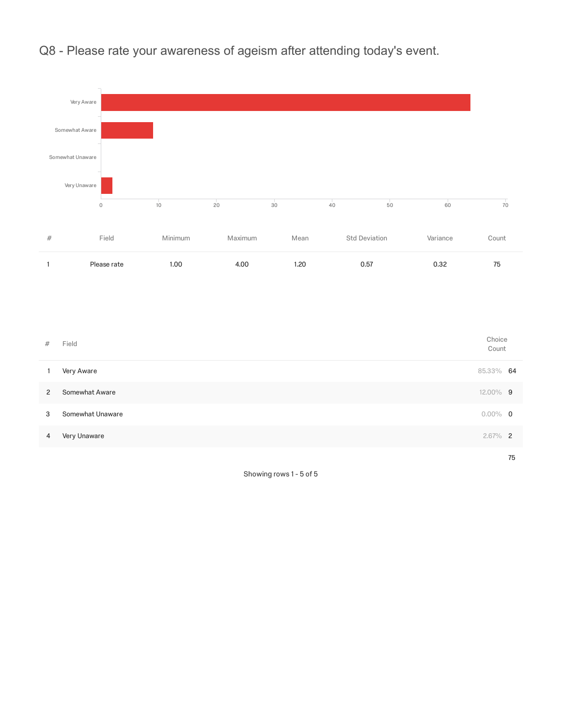

Q8 - Please rate your awareness of ageism after attending today's event.

| #              | Field            | Choice<br>Count |    |
|----------------|------------------|-----------------|----|
|                | Very Aware       | 85.33% 64       |    |
| $\overline{2}$ | Somewhat Aware   | 12.00% 9        |    |
| 3              | Somewhat Unaware | $0.00\%$ 0      |    |
| 4              | Very Unaware     | $2.67\%$ 2      |    |
|                |                  |                 | 75 |

Showing rows 1 - 5 of 5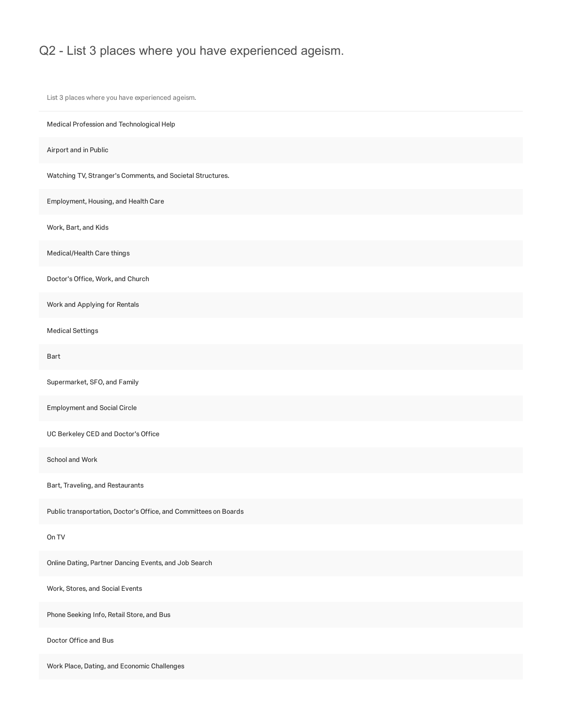List 3 places where you have experienced ageism.

Work Place, Dating, and Economic Challenges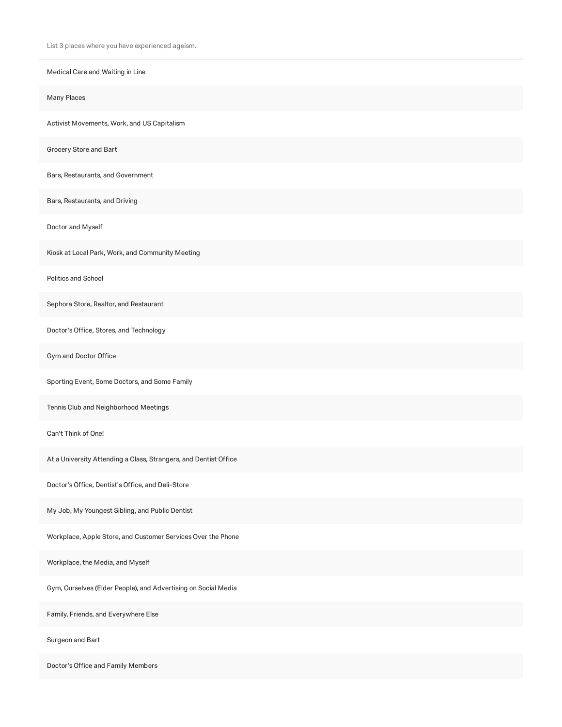Medical Care and Waiting in Line Many Places Activist Movements, Work, and US Capitalism Grocery Store and Bart Bars, Restaurants, and Government Bars, Restaurants, and Driving Doctor and Myself Kiosk at Local Park, Work, and Community Meeting Politics and School Sephora Store, Realtor, and Restaurant Doctor's Office, Stores, and Technology Gym and Doctor Office Sporting Event, Some Doctors, and Some Family Tennis Club and Neighborhood Meetings Can't Think of One! At a University Attending a Class, Strangers, and Dentist Office Doctor's Office, Dentist's Office, and Deli-Store My Job, My Youngest Sibling, and Public Dentist Workplace, Apple Store, and Customer Services Over the Phone Workplace, the Media, and Myself Gym, Ourselves (Elder People), and Advertising on Social Media Family, Friends, and Everywhere Else Surgeon and Bart

Doctor's Office and Family Members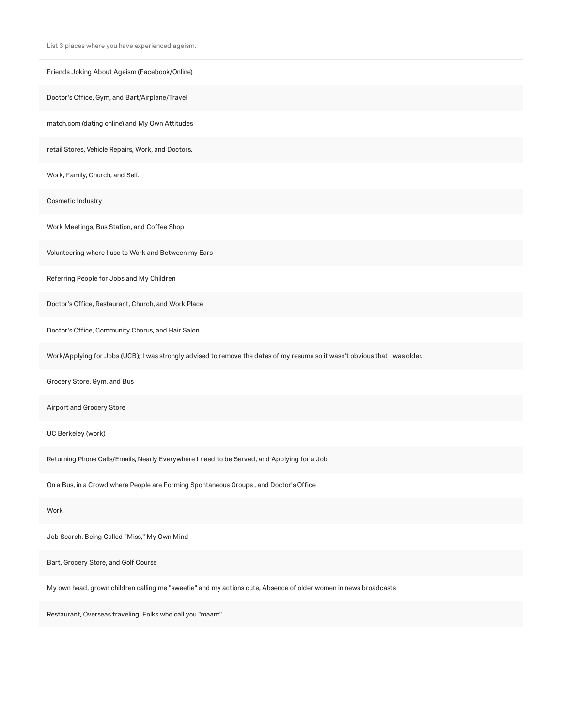| Friends Joking About Ageism (Facebook/Online)                                                                                |
|------------------------------------------------------------------------------------------------------------------------------|
| Doctor's Office, Gym, and Bart/Airplane/Travel                                                                               |
| match.com (dating online) and My Own Attitudes                                                                               |
| retail Stores, Vehicle Repairs, Work, and Doctors.                                                                           |
| Work, Family, Church, and Self.                                                                                              |
| Cosmetic Industry                                                                                                            |
| Work Meetings, Bus Station, and Coffee Shop                                                                                  |
| Volunteering where I use to Work and Between my Ears                                                                         |
| Referring People for Jobs and My Children                                                                                    |
| Doctor's Office, Restaurant, Church, and Work Place                                                                          |
| Doctor's Office, Community Chorus, and Hair Salon                                                                            |
| Work/Applying for Jobs (UCB); I was strongly advised to remove the dates of my resume so it wasn't obvious that I was older. |
| Grocery Store, Gym, and Bus                                                                                                  |
| Airport and Grocery Store                                                                                                    |
| UC Berkeley (work)                                                                                                           |
| Returning Phone Calls/Emails, Nearly Everywhere I need to be Served, and Applying for a Job                                  |
| On a Bus, in a Crowd where People are Forming Spontaneous Groups, and Doctor's Office                                        |
| Work                                                                                                                         |
| Job Search, Being Called "Miss," My Own Mind                                                                                 |
| Bart, Grocery Store, and Golf Course                                                                                         |

My own head, grown children calling me "sweetie" and my actions cute, Absence of older women in news broadcasts

Restaurant, Overseas traveling, Folks who call you "maam"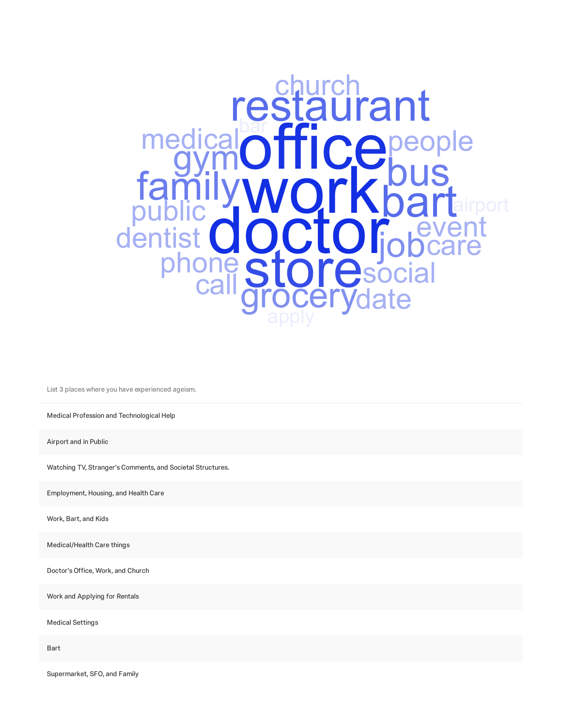

Medical Profession and Technological Help

Airport and in Public

Watching TV, Stranger's Comments, and Societal Structures.

Employment, Housing, and Health Care

Work, Bart, and Kids

Medical/Health Care things

Doctor's Office, Work, and Church

Work and Applying for Rentals

Medical Settings

Bart

Supermarket, SFO, and Family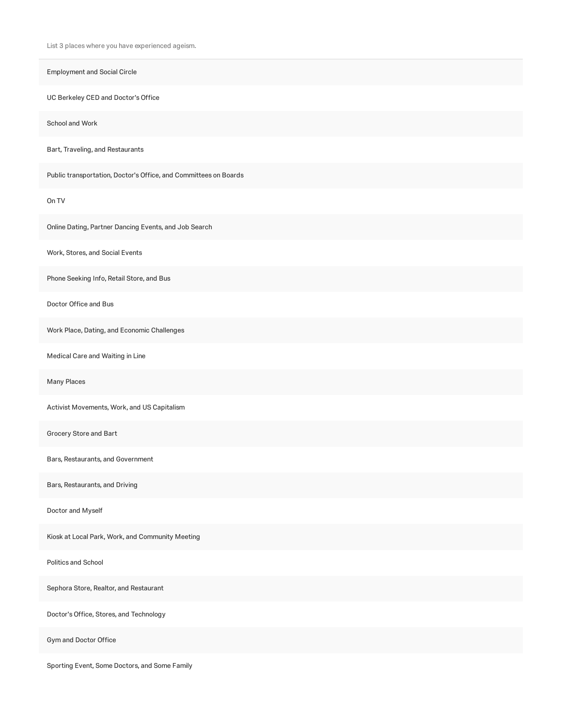Employment and Social Circle

UC Berkeley CED and Doctor's Office

School and Work

Bart, Traveling, and Restaurants

Public transportation, Doctor's Office, and Committees on Boards

On TV

Online Dating, Partner Dancing Events, and Job Search

Work, Stores, and Social Events

Phone Seeking Info, Retail Store, and Bus

Doctor Office and Bus

Work Place, Dating, and Economic Challenges

Medical Care and Waiting in Line

Many Places

Activist Movements, Work, and US Capitalism

Grocery Store and Bart

Bars, Restaurants, and Government

Bars, Restaurants, and Driving

Doctor and Myself

Kiosk at Local Park, Work, and Community Meeting

Politics and School

Sephora Store, Realtor, and Restaurant

Doctor's Office, Stores, and Technology

Gym and Doctor Office

Sporting Event, Some Doctors, and Some Family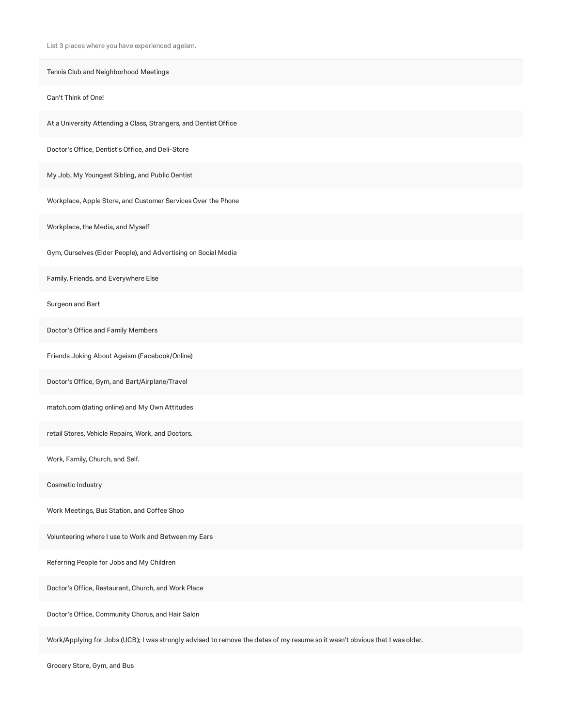| Tennis Club and Neighborhood Meetings                            |
|------------------------------------------------------------------|
| Can't Think of One!                                              |
| At a University Attending a Class, Strangers, and Dentist Office |
| Doctor's Office, Dentist's Office, and Deli-Store                |
| My Job, My Youngest Sibling, and Public Dentist                  |
| Workplace, Apple Store, and Customer Services Over the Phone     |
| Workplace, the Media, and Myself                                 |
| Gym, Ourselves (Elder People), and Advertising on Social Media   |
| Family, Friends, and Everywhere Else                             |
| Surgeon and Bart                                                 |
| Doctor's Office and Family Members                               |
| Friends Joking About Ageism (Facebook/Online)                    |
| Doctor's Office, Gym, and Bart/Airplane/Travel                   |
| match.com (dating online) and My Own Attitudes                   |
| retail Stores, Vehicle Repairs, Work, and Doctors.               |
| Work, Family, Church, and Self.                                  |
| Cosmetic Industry                                                |
| Work Meetings, Bus Station, and Coffee Shop                      |
| Volunteering where I use to Work and Between my Ears             |
| Referring People for Jobs and My Children                        |
| Doctor's Office, Restaurant, Church, and Work Place              |
| Doctor's Office, Community Chorus, and Hair Salon                |

Work/Applying for Jobs (UCB); I was strongly advised to remove the dates of my resume so it wasn't obvious that I was older.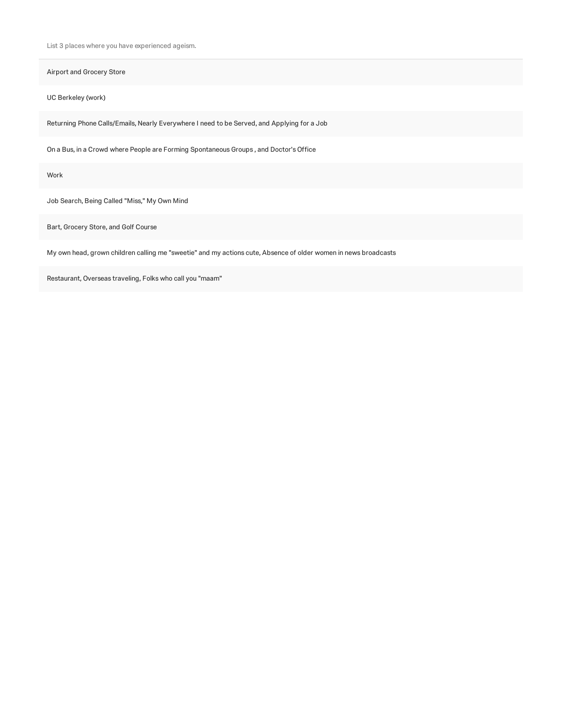Airport and Grocery Store

UC Berkeley (work)

Returning Phone Calls/Emails, Nearly Everywhere I need to be Served, and Applying for a Job

On a Bus, in a Crowd where People are Forming Spontaneous Groups , and Doctor's Office

Work

Job Search, Being Called "Miss," My Own Mind

Bart, Grocery Store, and Golf Course

My own head, grown children calling me "sweetie" and my actions cute, Absence of older women in news broadcasts

Restaurant, Overseas traveling, Folks who call you "maam"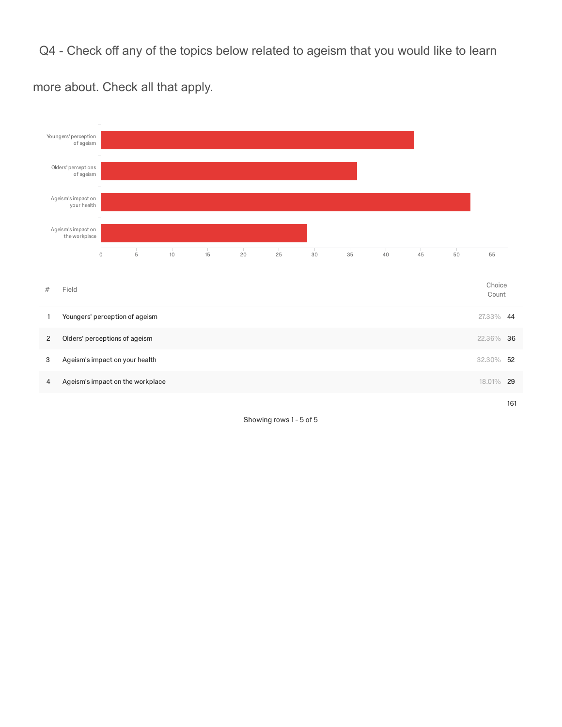Q4 - Check off any of the topics below related to ageism that you would like to learn



more about. Check all that apply.

Showing rows 1 - 5 of 5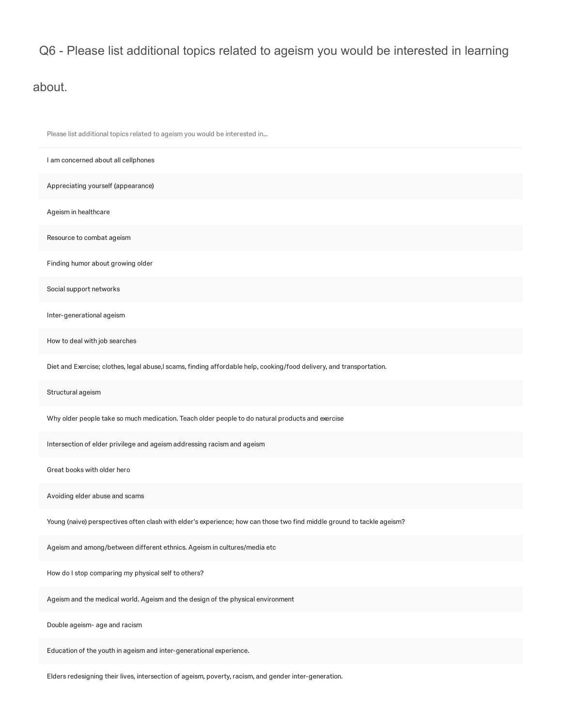## Q6 - Please list additional topics related to ageism you would be interested in learning

#### about.

| Please list additional topics related to ageism you would be interested in                                             |
|------------------------------------------------------------------------------------------------------------------------|
| I am concerned about all cellphones                                                                                    |
| Appreciating yourself (appearance)                                                                                     |
| Ageism in healthcare                                                                                                   |
| Resource to combat ageism                                                                                              |
| Finding humor about growing older                                                                                      |
| Social support networks                                                                                                |
| Inter-generational ageism                                                                                              |
| How to deal with job searches                                                                                          |
| Diet and Exercise; clothes, legal abuse,I scams, finding affordable help, cooking/food delivery, and transportation.   |
| Structural ageism                                                                                                      |
| Why older people take so much medication. Teach older people to do natural products and exercise                       |
| Intersection of elder privilege and ageism addressing racism and ageism                                                |
| Great books with older hero                                                                                            |
| Avoiding elder abuse and scams                                                                                         |
| Young (naive) perspectives often clash with elder's experience; how can those two find middle ground to tackle ageism? |
| Ageism and among/between different ethnics. Ageism in cultures/media etc                                               |
| How do I stop comparing my physical self to others?                                                                    |
| Ageism and the medical world. Ageism and the design of the physical environment                                        |
| Double ageism- age and racism                                                                                          |
| Education of the youth in ageism and inter-generational experience.                                                    |
|                                                                                                                        |

Elders redesigning their lives, intersection of ageism, poverty, racism, and gender inter-generation.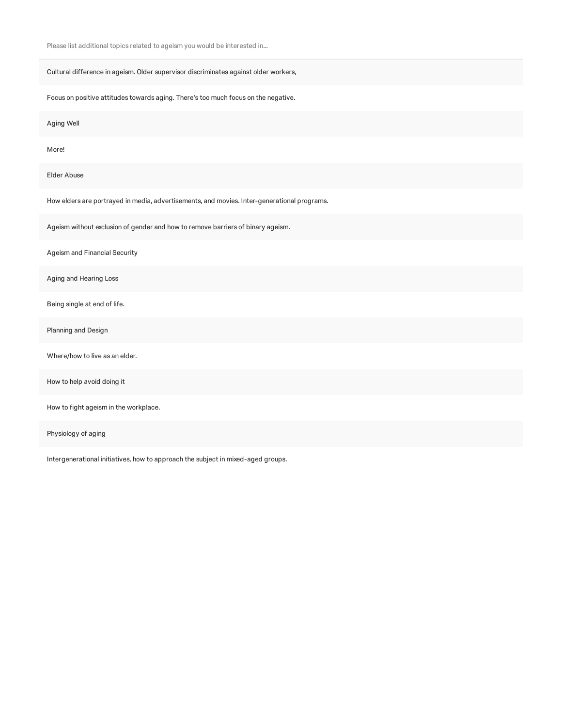Please list additional topics related to ageism you would be interested in...

Cultural difference in ageism. Older supervisor discriminates against older workers,

Focus on positive attitudes towards aging. There's too much focus on the negative.

Aging Well

More!

Elder Abuse

How elders are portrayed in media, advertisements, and movies. Inter-generational programs.

Ageism without exclusion of gender and how to remove barriers of binary ageism.

Ageism and Financial Security

Aging and Hearing Loss

Being single at end of life.

Planning and Design

Where/how to live as an elder.

How to help avoid doing it

How to fight ageism in the workplace.

Physiology of aging

Intergenerational initiatives, how to approach the subject in mixed-aged groups.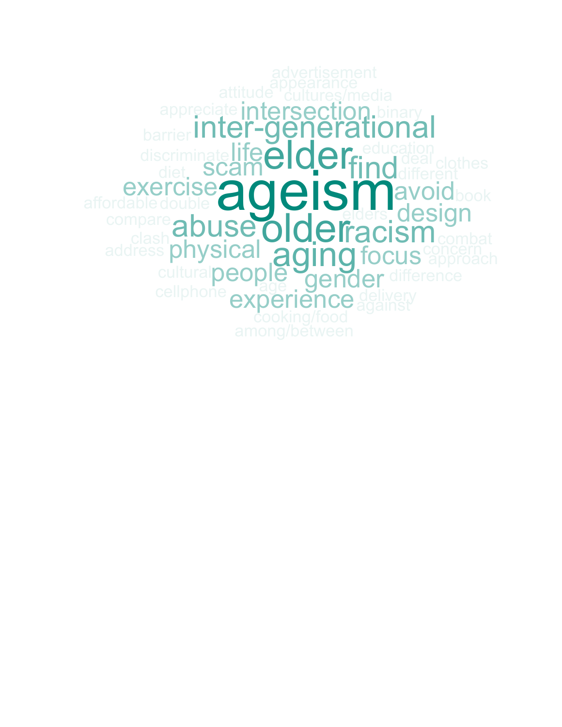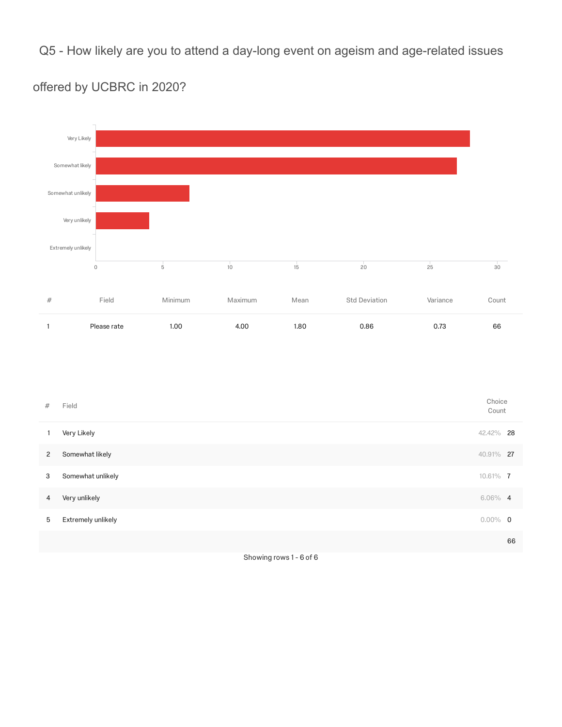Q5 - How likely are you to attend a day-long event on ageism and age-related issues

## offered by UCBRC in 2020?



| #            | Field              | Choice<br>Count |    |
|--------------|--------------------|-----------------|----|
| 1            | Very Likely        | 42.42% 28       |    |
| $\mathbf{2}$ | Somewhat likely    | 40.91% 27       |    |
| 3            | Somewhat unlikely  | 10.61% 7        |    |
| 4            | Very unlikely      | $6.06\%$ 4      |    |
| 5            | Extremely unlikely | $0.00\%$ 0      |    |
|              |                    |                 | 66 |

Showing rows 1 - 6 of 6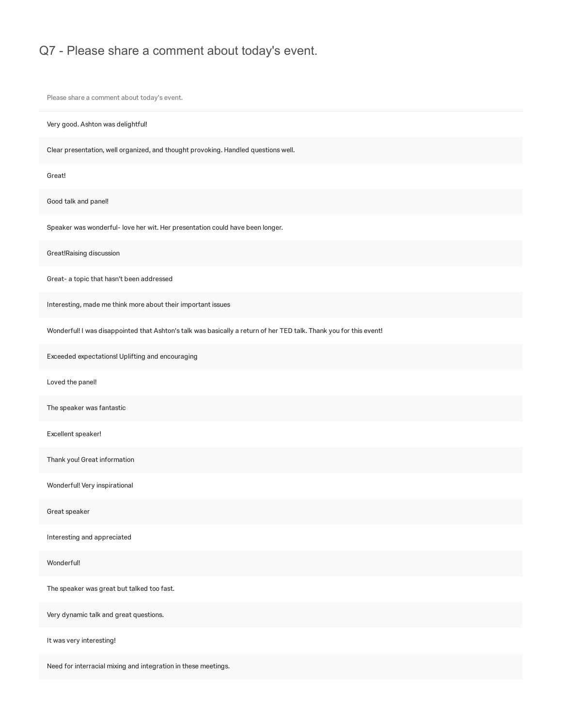#### Q7 - Please share a comment about today's event.

Please share a comment about today's event.

Very good. Ashton was delightful!

Clear presentation, well organized, and thought provoking. Handled questions well.

Great!

Good talk and panel!

Speaker was wonderful- love her wit. Her presentation could have been longer.

Great!Raising discussion

Great- a topic that hasn't been addressed

Interesting, made me think more about their important issues

Wonderful! I was disappointed that Ashton's talk was basically a return of her TED talk. Thank you for this event!

Exceeded expectations! Uplifting and encouraging

Loved the panel!

The speaker was fantastic

Excellent speaker!

Thank you! Great information

Wonderful! Very inspirational

Great speaker

Interesting and appreciated

Wonderful!

The speaker was great but talked too fast.

Very dynamic talk and great questions.

It was very interesting!

Need for interracial mixing and integration in these meetings.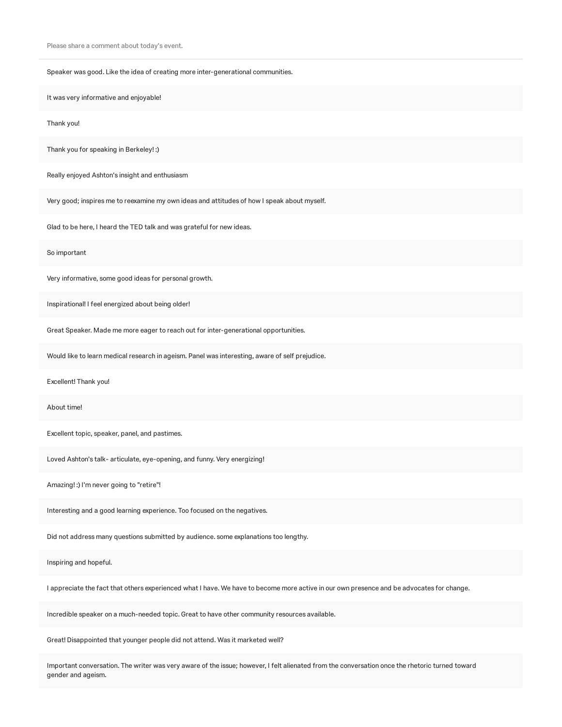Please share a comment about today's event.

Speaker was good. Like the idea of creating more inter-generational communities.

It was very informative and enjoyable!

Thank you!

Thank you for speaking in Berkeley! :)

Really enjoyed Ashton's insight and enthusiasm

Very good; inspires me to reexamine my own ideas and attitudes of how I speak about myself.

Glad to be here, I heard the TED talk and was grateful for new ideas.

So important

Very informative, some good ideas for personal growth.

Inspirational! I feel energized about being older!

Great Speaker. Made me more eager to reach out for inter-generational opportunities.

Would like to learn medical research in ageism. Panel was interesting, aware of self prejudice.

Excellent! Thank you!

About time!

Excellent topic, speaker, panel, and pastimes.

Loved Ashton's talk- articulate, eye-opening, and funny. Very energizing!

Amazing! :) I'm never going to "retire"!

Interesting and a good learning experience. Too focused on the negatives.

Did not address many questions submitted by audience. some explanations too lengthy.

Inspiring and hopeful.

I appreciate the fact that others experienced what I have. We have to become more active in our own presence and be advocates for change.

Incredible speaker on a much-needed topic. Great to have other community resources available.

Great! Disappointed that younger people did not attend. Was it marketed well?

Important conversation. The writer was very aware of the issue; however, I felt alienated from the conversation once the rhetoric turned toward gender and ageism.